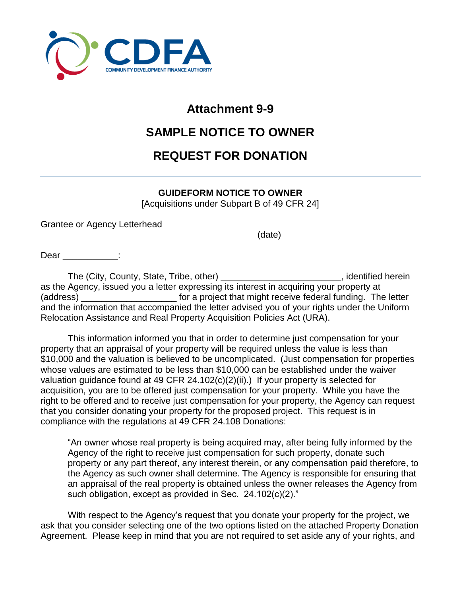

### **Attachment 9-9**

## **SAMPLE NOTICE TO OWNER**

# **REQUEST FOR DONATION**

#### **GUIDEFORM NOTICE TO OWNER**

[Acquisitions under Subpart B of 49 CFR 24]

Grantee or Agency Letterhead

(date)

Dear :

The (City, County, State, Tribe, other) \_\_\_\_\_\_\_\_\_\_\_\_\_\_\_\_\_\_\_\_\_\_\_\_\_\_\_, identified herein as the Agency, issued you a letter expressing its interest in acquiring your property at (address) **the sum of a project that might receive federal funding.** The letter and the information that accompanied the letter advised you of your rights under the Uniform Relocation Assistance and Real Property Acquisition Policies Act (URA).

This information informed you that in order to determine just compensation for your property that an appraisal of your property will be required unless the value is less than \$10,000 and the valuation is believed to be uncomplicated. (Just compensation for properties whose values are estimated to be less than \$10,000 can be established under the waiver valuation guidance found at 49 CFR 24.102(c)(2)(ii).) If your property is selected for acquisition, you are to be offered just compensation for your property. While you have the right to be offered and to receive just compensation for your property, the Agency can request that you consider donating your property for the proposed project. This request is in compliance with the regulations at 49 CFR 24.108 Donations:

"An owner whose real property is being acquired may, after being fully informed by the Agency of the right to receive just compensation for such property, donate such property or any part thereof, any interest therein, or any compensation paid therefore, to the Agency as such owner shall determine. The Agency is responsible for ensuring that an appraisal of the real property is obtained unless the owner releases the Agency from such obligation, except as provided in Sec. 24.102(c)(2)."

With respect to the Agency's request that you donate your property for the project, we ask that you consider selecting one of the two options listed on the attached Property Donation Agreement. Please keep in mind that you are not required to set aside any of your rights, and